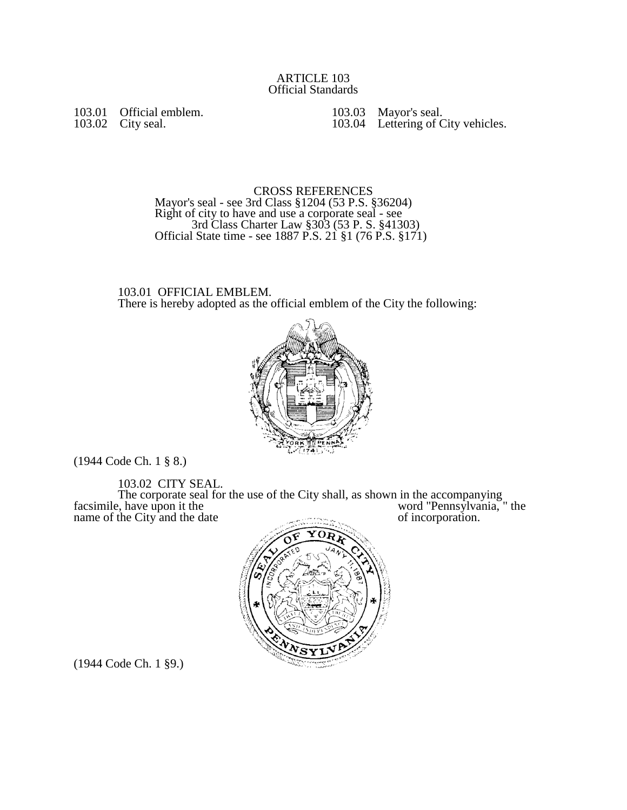103.01 Official emblem. 103.02 City seal.

103.03 Mayor's seal. 103.04 Lettering of City vehicles.

CROSS REFERENCES Mayor's seal - see 3rd Class §1204 (53 P.S. §36204) Right of city to have and use a corporate seal - see 3rd Class Charter Law §303 (53 P. S. §41303) Official State time - see 1887 P.S. 21 §1 (76 P.S. §171)

103.01 OFFICIAL EMBLEM. There is hereby adopted as the official emblem of the City the following:



(1944 Code Ch. 1 § 8.)

103.02 CITY SEAL.

The corporate seal for the use of the City shall, as shown in the accompanying facsimile, have upon it the word "Pennsylvania," the facsimile, have upon it the word "Pennsylvan word" Pennsylvan word and the City and the date of incorporation.



(1944 Code Ch. 1 §9.)